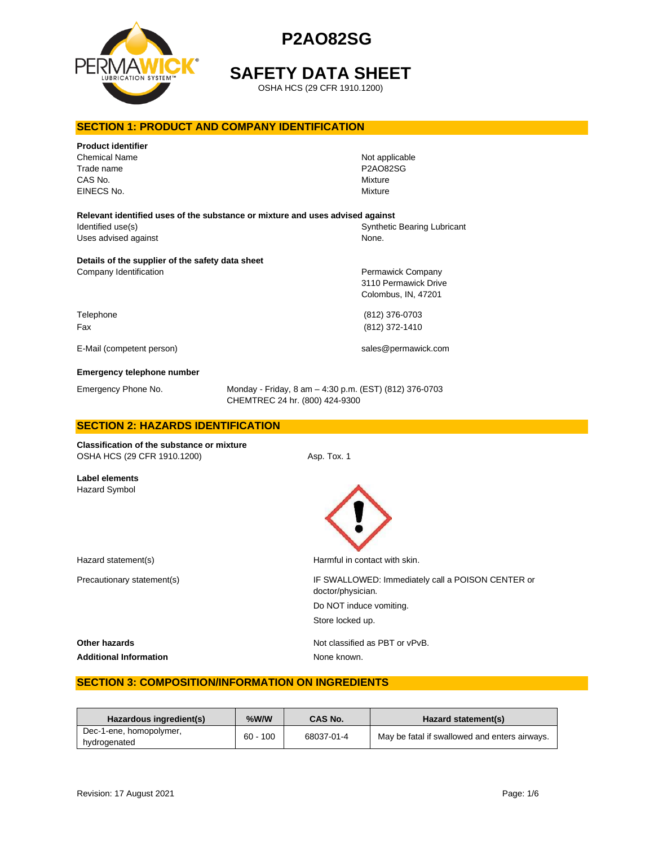

# **SAFETY DATA SHEET**

OSHA HCS (29 CFR 1910.1200)

### **SECTION 1: PRODUCT AND COMPANY IDENTIFICATION**

| <b>Product identifier</b><br>Chemical Name<br>Trade name<br>CAS No.<br>EINECS No. | Not applicable<br><b>P2AO82SG</b><br>Mixture<br>Mixture                                  |  |
|-----------------------------------------------------------------------------------|------------------------------------------------------------------------------------------|--|
|                                                                                   | Relevant identified uses of the substance or mixture and uses advised against            |  |
| Identified use(s)<br>Uses advised against                                         | <b>Synthetic Bearing Lubricant</b><br>None.                                              |  |
| Details of the supplier of the safety data sheet                                  |                                                                                          |  |
| Company Identification                                                            | Permawick Company<br>3110 Permawick Drive<br>Colombus, IN, 47201                         |  |
| Telephone                                                                         | (812) 376-0703                                                                           |  |
| Fax                                                                               | (812) 372-1410                                                                           |  |
| E-Mail (competent person)                                                         | sales@permawick.com                                                                      |  |
| <b>Emergency telephone number</b>                                                 |                                                                                          |  |
| Emergency Phone No.                                                               | Monday - Friday, 8 am - 4:30 p.m. (EST) (812) 376-0703<br>CHEMTREC 24 hr. (800) 424-9300 |  |
| <b>SECTION 2: HAZARDS IDENTIFICATION</b>                                          |                                                                                          |  |
| Classification of the substance or mixture<br>OSHA HCS (29 CFR 1910.1200)         | Asp. Tox. 1                                                                              |  |

**Label elements** Hazard Symbol



Hazard statement(s) example a Harmful in contact with skin.

Precautionary statement(s)  $\qquad \qquad$  IF SWALLOWED: Immediately call a POISON CENTER or doctor/physician. Do NOT induce vomiting. Store locked up.

Additional Information **None known**.

**Other hazards Other hazards Not classified as PBT or vPvB.** 

### **SECTION 3: COMPOSITION/INFORMATION ON INGREDIENTS**

| Hazardous ingredient(s)                 | %W/W       | CAS No.    | Hazard statement(s)                           |
|-----------------------------------------|------------|------------|-----------------------------------------------|
| Dec-1-ene, homopolymer,<br>hydrogenated | $60 - 100$ | 68037-01-4 | May be fatal if swallowed and enters airways. |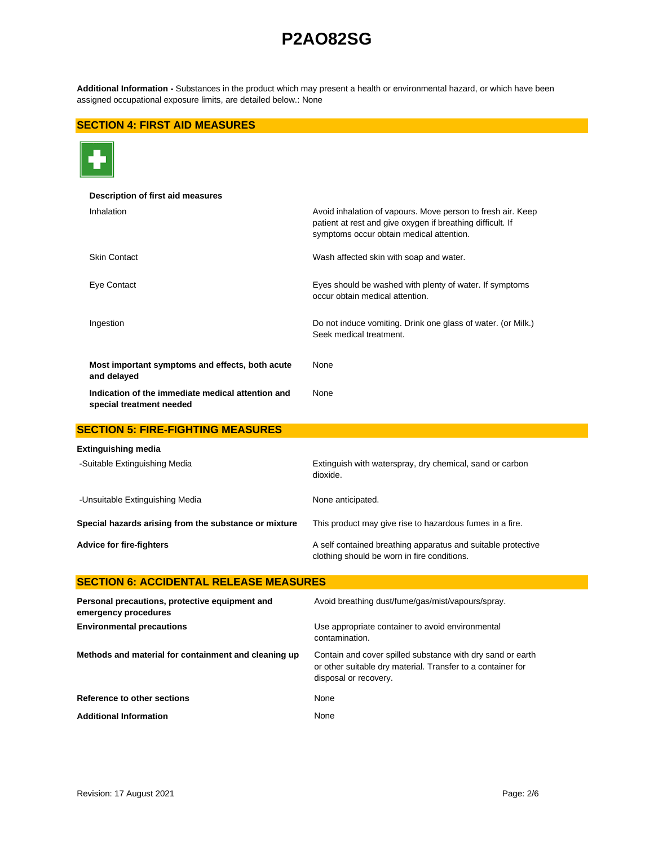**Additional Information -** Substances in the product which may present a health or environmental hazard, or which have been assigned occupational exposure limits, are detailed below.: None

### **SECTION 4: FIRST AID MEASURES**



| Description of first aid measures                                             |                                                                                                                                                                       |
|-------------------------------------------------------------------------------|-----------------------------------------------------------------------------------------------------------------------------------------------------------------------|
| Inhalation                                                                    | Avoid inhalation of vapours. Move person to fresh air. Keep<br>patient at rest and give oxygen if breathing difficult. If<br>symptoms occur obtain medical attention. |
| <b>Skin Contact</b>                                                           | Wash affected skin with soap and water.                                                                                                                               |
| Eye Contact                                                                   | Eyes should be washed with plenty of water. If symptoms<br>occur obtain medical attention.                                                                            |
| Ingestion                                                                     | Do not induce vomiting. Drink one glass of water. (or Milk.)<br>Seek medical treatment.                                                                               |
| Most important symptoms and effects, both acute<br>and delayed                | None                                                                                                                                                                  |
| Indication of the immediate medical attention and<br>special treatment needed | None                                                                                                                                                                  |
| <b>SECTION 5: FIRE-FIGHTING MEASURES</b>                                      |                                                                                                                                                                       |
| Extinguishing media                                                           |                                                                                                                                                                       |
| -Suitable Extinguishing Media                                                 | Extinguish with waterspray, dry chemical, sand or carbon<br>dioxide.                                                                                                  |
| -Unsuitable Extinguishing Media                                               | None anticipated.                                                                                                                                                     |
| Special hazards arising from the substance or mixture                         | This product may give rise to hazardous fumes in a fire.                                                                                                              |
| <b>Advice for fire-fighters</b>                                               | A self contained breathing apparatus and suitable protective<br>clothing should be worn in fire conditions.                                                           |
| <b>SECTION 6: ACCIDENTAL RELEASE MEASURES</b>                                 |                                                                                                                                                                       |
| Personal precautions, protective equipment and<br>emergency procedures        | Avoid breathing dust/fume/gas/mist/vapours/spray.                                                                                                                     |
| <b>Environmental precautions</b>                                              | Use appropriate container to avoid environmental<br>contamination.                                                                                                    |
| Methods and material for containment and cleaning up                          | Contain and cover spilled substance with dry sand or earth<br>or other suitable dry material. Transfer to a container for<br>disposal or recovery.                    |
| Reference to other sections                                                   | None                                                                                                                                                                  |

Additional Information **None** None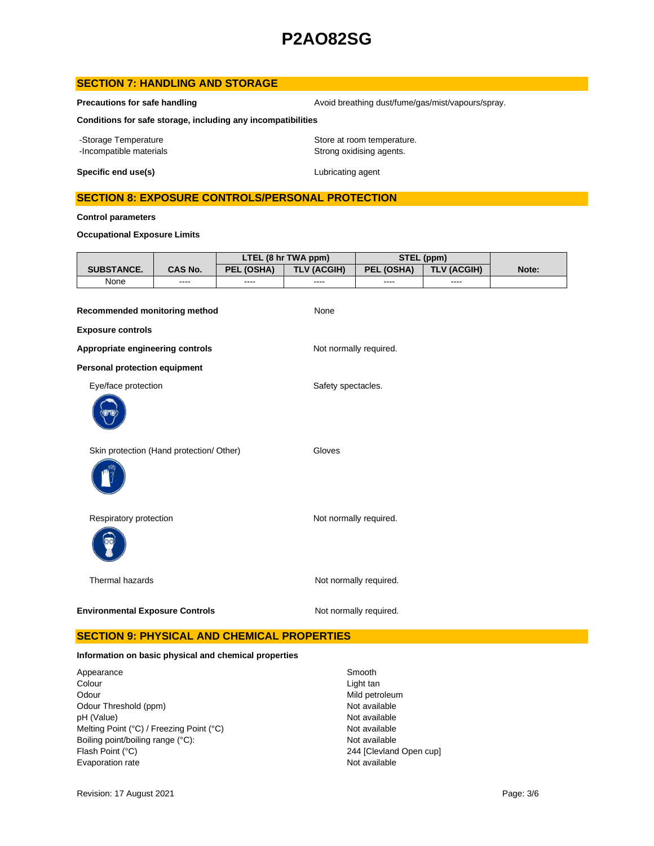### **SECTION 7: HANDLING AND STORAGE**

**Precautions for safe handling Avoid breathing dust/fume/gas/mist/vapours/spray.** Avoid breathing dust/fume/gas/mist/vapours/spray.

**Conditions for safe storage, including any incompatibilities**

-Storage Temperature **Storage Temperature** Store at room temperature. -Incompatible materials **Strong oxidising agents**.

**Specific end use(s)** Lubricating agent

### **SECTION 8: EXPOSURE CONTROLS/PERSONAL PROTECTION**

**Control parameters**

**Occupational Exposure Limits**

|                                                           |                | LTEL (8 hr TWA ppm) |                        | STEL (ppm)             |                    |       |
|-----------------------------------------------------------|----------------|---------------------|------------------------|------------------------|--------------------|-------|
| SUBSTANCE.                                                | <b>CAS No.</b> | <b>PEL (OSHA)</b>   | <b>TLV (ACGIH)</b>     | PEL (OSHA)             | <b>TLV (ACGIH)</b> | Note: |
| None                                                      | ----           | ----                | ----                   | $---$                  | ----               |       |
| Recommended monitoring method<br><b>Exposure controls</b> |                |                     | None                   |                        |                    |       |
|                                                           |                |                     |                        |                        |                    |       |
| Appropriate engineering controls                          |                |                     | Not normally required. |                        |                    |       |
| <b>Personal protection equipment</b>                      |                |                     |                        |                        |                    |       |
| Eye/face protection                                       |                |                     | Safety spectacles.     |                        |                    |       |
|                                                           |                |                     |                        |                        |                    |       |
| Skin protection (Hand protection/ Other)                  |                |                     | Gloves                 |                        |                    |       |
| Respiratory protection                                    |                |                     | Not normally required. |                        |                    |       |
| Thermal hazards                                           |                |                     |                        | Not normally required. |                    |       |
| <b>Environmental Exposure Controls</b>                    |                |                     |                        | Not normally required. |                    |       |

# **SECTION 9: PHYSICAL AND CHEMICAL PROPERTIES**

#### **Information on basic physical and chemical properties**

Appearance Smooth<br>
Colour Colour<br>
Colour Odour Mild petroleum<br>
Odour Threshold (ppm) example and the second of the Mot available<br>
Odour Threshold (ppm) Odour Threshold (ppm) Not available<br>
DH (Value) Not available<br>
Not available pH (Value)<br>
Mot available<br>
Melting Point (°C) / Freezing Point (°C) <br>
Mot available Melting Point (°C) / Freezing Point (°C) Boiling point/boiling range (°C): Not available Flash Point (°C) 244 [Clevland Open cup] Evaporation rate **Not available** 

Light tan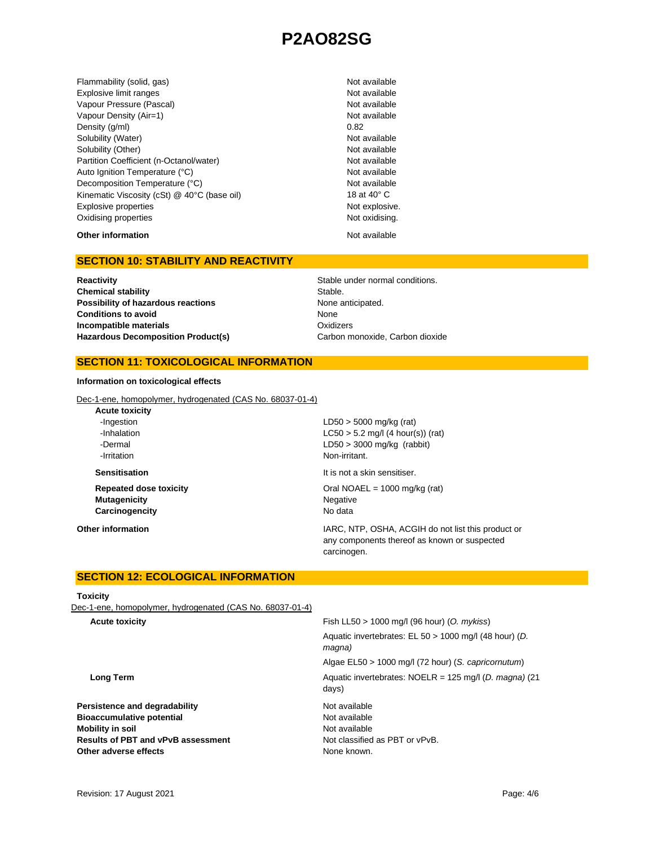Flammability (solid, gas) Not available Shammability (solid, gas) Explosive limit ranges **Not available** Not available Vapour Pressure (Pascal) Not available Not available Vapour Density (Air=1) Not available Density  $(g/m)$  0.82 Solubility (Water) Not available Solubility (Other) Not available Partition Coefficient (n-Octanol/water) Not available Auto Ignition Temperature (°C) Not available Decomposition Temperature (°C) Not available Kinematic Viscosity (cSt) @ 40°C (base oil) 18 at 40° C Explosive properties **Not explosive.** Not explosive. Oxidising properties Not oxidising.

# **Other information** Not available

# **SECTION 10: STABILITY AND REACTIVITY**

**Chemical stability** Stable. **Possibility of hazardous reactions None anticipated. Conditions to avoid Incompatible materials** Hazardous Decomposition Product(s) Carbon monoxide, Carbon dioxide

**Reactivity Reactivity Reactivity Reactivity Stable under normal conditions.** None **Oxidizers** 

#### **SECTION 11: TOXICOLOGICAL INFORMATION**

**Information on toxicological effects**

Dec-1-ene, homopolymer, hydrogenated (CAS No. 68037-01-4)

**Acute toxicity** -Ingestion LD50 > 5000 mg/kg (rat) -Dermal LD50 > 3000 mg/kg (rabbit) *Principal Execution* **CONSIDER** *Principal Execution* **Non-irritant. Sensitisation It is not a skin sensitiser. Repeated dose toxicity COLOGY EXECUTE:**  $\frac{1}{2}$  Oral NOAEL = 1000 mg/kg (rat) **Mutagenicity** Negative **Carcinogencity** No data

-Inhalation LC50 > 5.2 mg/l (4 hour(s)) (rat)

**Other information IARC, NTP, OSHA, ACGIH do not list this product or IARC**, NTP, OSHA, ACGIH do not list this product or any components thereof as known or suspected carcinogen.

### **SECTION 12: ECOLOGICAL INFORMATION**

#### **Toxicity**

Dec-1-ene, homopolymer, hydrogenated (CAS No. 68037-01-4)

| Fish LL50 $> 1000$ mg/l (96 hour) (O. mykiss)                             |
|---------------------------------------------------------------------------|
| Aquatic invertebrates: EL 50 > 1000 mg/l (48 hour) (D.<br>magna)          |
| Algae EL50 > 1000 mg/l (72 hour) (S. capricornutum)                       |
| Aquatic invertebrates: NOELR = $125 \text{ mg/l}$ (D. magna) (21<br>days) |
| Not available                                                             |
| Not available                                                             |
| Not available                                                             |
| Not classified as PBT or vPvB.                                            |
| None known.                                                               |
|                                                                           |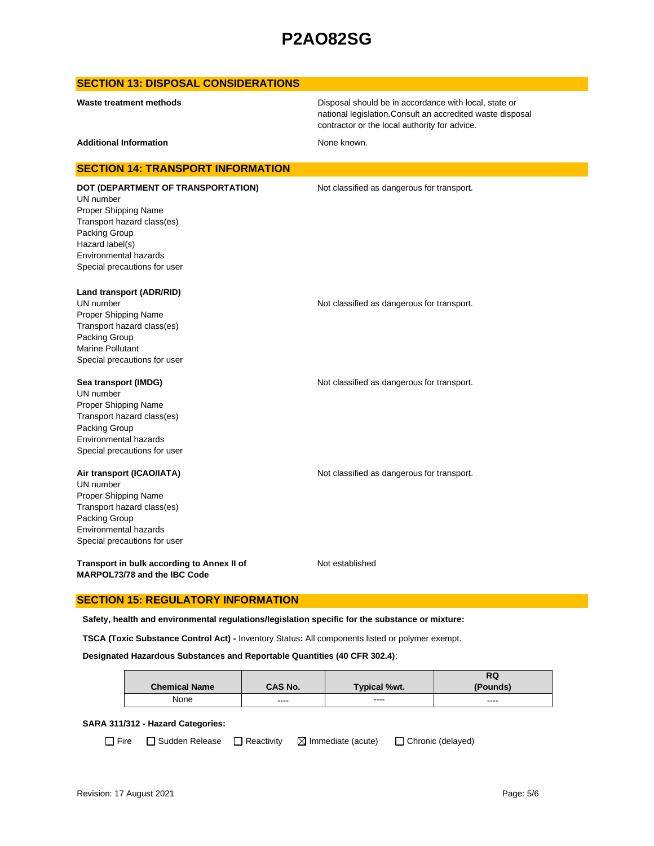### **SECTION 13: DISPOSAL CONSIDERATIONS**

Disposal should be in accordance with local, state or national legislation.Consult an accredited waste disposal contractor or the local authority for advice.

Additional Information **None known.** None known.

#### **SECTION 14: TRANSPORT INFORMATION**

UN number Proper Shipping Name Transport hazard class(es) Packing Group Hazard label(s) Environmental hazards Special precautions for user

**DOT (DEPARTMENT OF TRANSPORTATION)** Not classified as dangerous for transport.

**Land transport (ADR/RID)**

UN number **Not classified as dangerous for transport.** Proper Shipping Name Transport hazard class(es) Packing Group Marine Pollutant Special precautions for user

#### **Sea transport (IMDG) Not classified as dangerous for transport.** Not classified as dangerous for transport.

UN number Proper Shipping Name Transport hazard class(es) Packing Group Environmental hazards Special precautions for user

#### **Air transport (ICAO/IATA)** Not classified as dangerous for transport.

UN number Proper Shipping Name Transport hazard class(es) Packing Group Environmental hazards Special precautions for user

**Transport in bulk according to Annex II of MARPOL73/78 and the IBC Code**

Not established

### **SECTION 15: REGULATORY INFORMATION**

**Safety, health and environmental regulations/legislation specific for the substance or mixture:**

**TSCA (Toxic Substance Control Act) -** Inventory Status**:** All components listed or polymer exempt.

#### **Designated Hazardous Substances and Reportable Quantities (40 CFR 302.4)**:

|                      |         |                     | RQ       |
|----------------------|---------|---------------------|----------|
| <b>Chemical Name</b> | CAS No. | <b>Typical %wt.</b> | (Pounds) |
| None                 | ----    | ----                | $\cdots$ |

#### **SARA 311/312 - Hazard Categories:**

 $\Box$  Fire  $\Box$  Sudden Release  $\Box$  Reactivity  $\Box$  Immediate (acute)  $\Box$  Chronic (delayed)